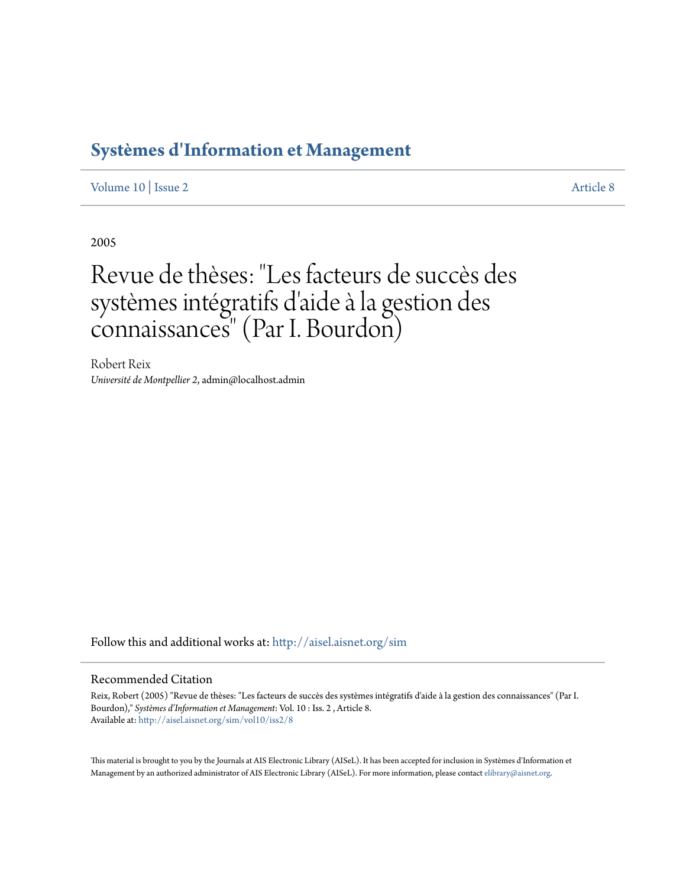## **[Systèmes d'Information et Management](http://aisel.aisnet.org/sim?utm_source=aisel.aisnet.org%2Fsim%2Fvol10%2Fiss2%2F8&utm_medium=PDF&utm_campaign=PDFCoverPages)**

[Volume 10](http://aisel.aisnet.org/sim/vol10?utm_source=aisel.aisnet.org%2Fsim%2Fvol10%2Fiss2%2F8&utm_medium=PDF&utm_campaign=PDFCoverPages) | [Issue 2](http://aisel.aisnet.org/sim/vol10/iss2?utm_source=aisel.aisnet.org%2Fsim%2Fvol10%2Fiss2%2F8&utm_medium=PDF&utm_campaign=PDFCoverPages) [Article 8](http://aisel.aisnet.org/sim/vol10/iss2/8?utm_source=aisel.aisnet.org%2Fsim%2Fvol10%2Fiss2%2F8&utm_medium=PDF&utm_campaign=PDFCoverPages)

2005

# Revue de thèses: "Les facteurs de succès des systèmes intégratifs d'aide à la gestion des connaissances" (Par I. Bourdon)

Robert Reix *Université de Montpellier 2*, admin@localhost.admin

Follow this and additional works at: [http://aisel.aisnet.org/sim](http://aisel.aisnet.org/sim?utm_source=aisel.aisnet.org%2Fsim%2Fvol10%2Fiss2%2F8&utm_medium=PDF&utm_campaign=PDFCoverPages)

#### Recommended Citation

Reix, Robert (2005) "Revue de thèses: "Les facteurs de succès des systèmes intégratifs d'aide à la gestion des connaissances" (Par I. Bourdon)," *Systèmes d'Information et Management*: Vol. 10 : Iss. 2 , Article 8. Available at: [http://aisel.aisnet.org/sim/vol10/iss2/8](http://aisel.aisnet.org/sim/vol10/iss2/8?utm_source=aisel.aisnet.org%2Fsim%2Fvol10%2Fiss2%2F8&utm_medium=PDF&utm_campaign=PDFCoverPages)

This material is brought to you by the Journals at AIS Electronic Library (AISeL). It has been accepted for inclusion in Systèmes d'Information et Management by an authorized administrator of AIS Electronic Library (AISeL). For more information, please contact [elibrary@aisnet.org](mailto:elibrary@aisnet.org%3E).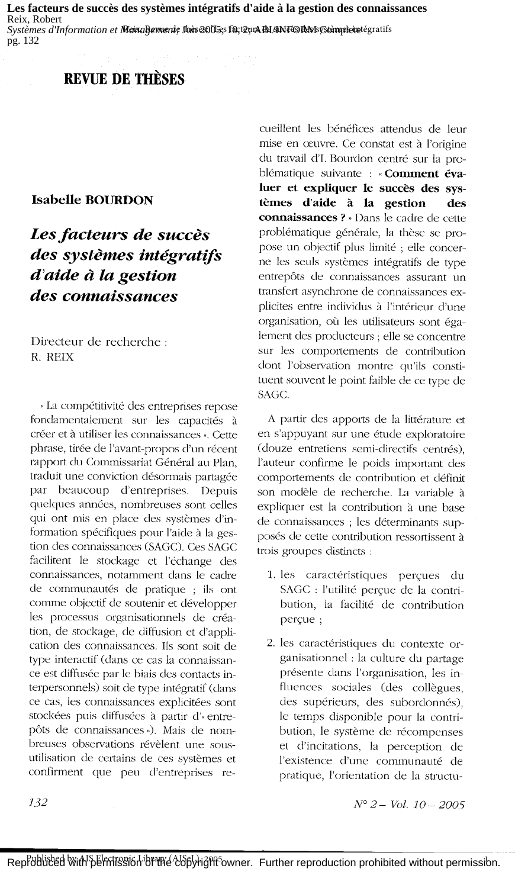Les facteurs de succès des systèmes intégratifs d'aide à la gestion des connaissances Reix, Robert

Systèmes d'Information et Meina Remente Inive 2005es fût teurs Bd ANFORM Stàmplein tégratifs pg. 132

#### **REVUE DE THÈSES**

#### **Isabelle BOURDON**

### Les facteurs de succès des systèmes intégratifs d'aide à la gestion des connaissances

Directeur de recherche: R. REIX

« La compétitivité des entreprises repose fondamentalement sur les capacités à créer et à utiliser les connaissances ». Cette phrase, tirée de l'avant-propos d'un récent rapport du Commissariat Général au Plan, traduit une conviction désormais partagée par beaucoup d'entreprises. Depuis quelques années, nombreuses sont celles qui ont mis en place des systèmes d'information spécifiques pour l'aide à la gestion des connaissances (SAGC). Ces SAGC facilitent le stockage et l'échange des connaissances, notamment dans le cadre de communautés de pratique ; ils ont comme objectif de soutenir et développer les processus organisationnels de création, de stockage, de diffusion et d'application des connaissances. Ils sont soit de type interactif (dans ce cas la connaissance est diffusée par le biais des contacts interpersonnels) soit de type intégratif (dans ce cas, les connaissances explicitées sont stockées puis diffusées à partir d'« entrepôts de connaissances»). Mais de nombreuses observations révèlent une sousutilisation de certains de ces systèmes et confirment que peu d'entreprises re-

cueillent les bénéfices attendus de leur mise en œuvre. Ce constat est à l'origine du travail d'I. Bourdon centré sur la problématique suivante : « Comment évaluer et expliquer le succès des systèmes d'aide à la gestion des connaissances ? » Dans le cadre de cette problématique générale, la thèse se propose un objectif plus limité ; elle concerne les seuls systèmes intégratifs de type entrepôts de connaissances assurant un transfert asynchrone de connaissances explicites entre individus à l'intérieur d'une organisation, où les utilisateurs sont également des producteurs ; elle se concentre sur les comportements de contribution dont l'observation montre qu'ils constituent souvent le point faible de ce type de SAGC.

A partir des apports de la littérature et en s'appuyant sur une étude exploratoire (douze entretiens semi-directifs centrés), l'auteur confirme le poids important des comportements de contribution et définit son modèle de recherche. La variable à expliquer est la contribution à une base de connaissances ; les déterminants supposés de cette contribution ressortissent à trois groupes distincts :

- 1. les caractéristiques perçues du SAGC : l'utilité perçue de la contribution, la facilité de contribution perçue;
- 2. les caractéristiques du contexte organisationnel : la culture du partage présente dans l'organisation, les influences sociales (des collègues, des supérieurs, des subordonnés), le temps disponible pour la contribution, le système de récompenses et d'incitations, la perception de l'existence d'une communauté de pratique, l'orientation de la structu-

 $N^{\circ}$  2 - Vol. 10 - 2005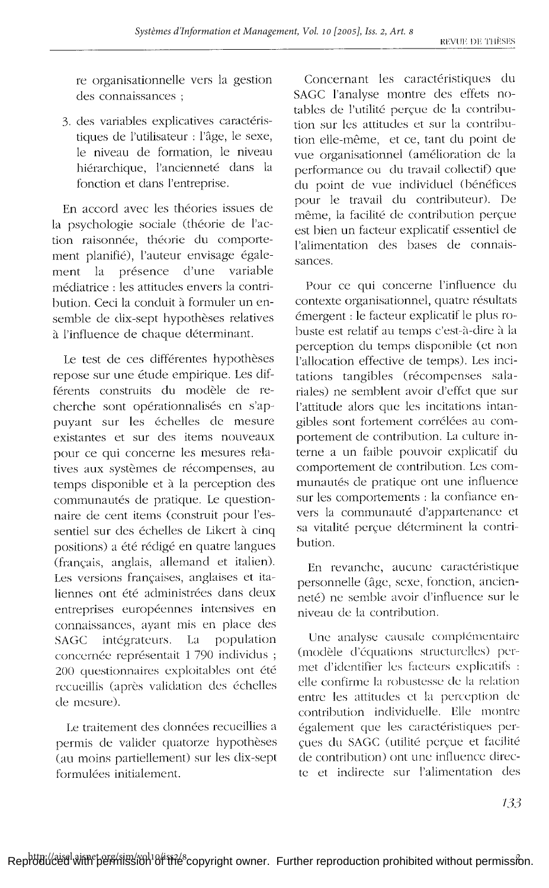re organisationnelle vers la gestion des connaissances :

3. des variables explicatives caractéristiques de l'utilisateur : l'âge, le sexe, le niveau de formation, le niveau hiérarchique. l'ancienneté dans la fonction et dans l'entreprise.

En accord avec les théories issues de la psychologie sociale (théorie de l'action raisonnée, théorie du comportement planifié), l'auteur envisage également la présence d'une variable médiatrice : les attitudes envers la contribution. Ceci la conduit à formuler un ensemble de dix-sept hypothèses relatives à l'influence de chaque déterminant.

Le test de ces différentes hypothèses repose sur une étude empirique. Les différents construits du modèle de recherche sont opérationnalisés en s'appuyant sur les échelles de mesure existantes et sur des items nouveaux pour ce qui concerne les mesures relatives aux systèmes de récompenses, au temps disponible et à la perception des communautés de pratique. Le questionnaire de cent items (construit pour l'essentiel sur des échelles de Likert à cinq positions) a été rédigé en quatre langues (francais, anglais, allemand et italien). Les versions françaises, anglaises et italiennes ont été administrées dans deux entreprises européennes intensives en connaissances, ayant mis en place des intégrateurs. La population **SAGC** concernée représentait 1790 individus ; 200 questionnaires exploitables ont été recueillis (après validation des échelles de mesure).

Le traitement des données recueillies a permis de valider quatorze hypothèses (au moins partiellement) sur les dix-sept formulées initialement.

Concernant les caractéristiques du SAGC l'analyse montre des effets notables de l'utilité percue de la contribution sur les attitudes et sur la contribution elle-même, et ce, tant du point de vue organisationnel (amélioration de la performance ou du travail collectif) que du point de vue individuel (bénéfices pour le travail du contributeur). De même, la facilité de contribution perçue est bien un facteur explicatif essentiel de l'alimentation des bases de connaissances.

Pour ce qui concerne l'influence du contexte organisationnel, quatre résultats émergent : le facteur explicatif le plus robuste est relatif au temps c'est-à-dire à la perception du temps disponible (et non l'allocation effective de temps). Les incitations tangibles (récompenses salariales) ne semblent avoir d'effet que sur l'attitude alors que les incitations intangibles sont fortement corrélées au comportement de contribution. La culture interne a un faible pouvoir explicatif du comportement de contribution. Les communautés de pratique ont une influence sur les comportements : la confiance envers la communauté d'appartenance et sa vitalité percue déterminent la contribution.

En revanche, aucune caractéristique personnelle (âge, sexe, fonction, ancienneté) ne semble avoir d'influence sur le niveau de la contribution.

Une analyse causale complémentaire (modèle d'équations structurelles) permet d'identifier les facteurs explicatifs : elle confirme la robustesse de la relation entre les attitudes et la perception de contribution individuelle. Elle montre également que les caractéristiques percues du SAGC (utilité perçue et facilité de contribution) ont une influence directe et indirecte sur l'alimentation des